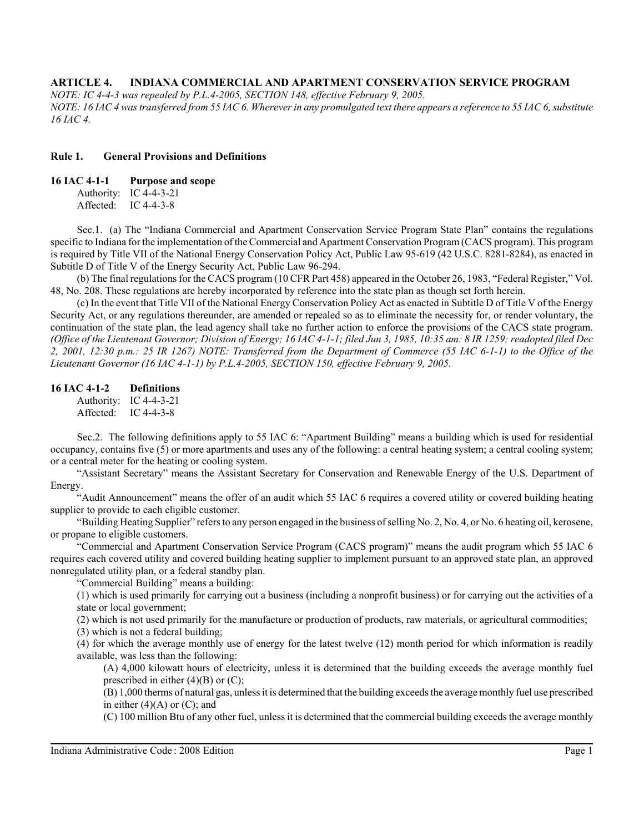*NOTE: IC 4-4-3 was repealed by P.L.4-2005, SECTION 148, effective February 9, 2005. NOTE: 16 IAC 4 was transferred from 55 IAC 6. Wherever in any promulgated text there appears a reference to 55 IAC 6, substitute 16 IAC 4.*

#### **Rule 1. General Provisions and Definitions**

#### **16 IAC 4-1-1 Purpose and scope**

Authority: IC 4-4-3-21 Affected: IC 4-4-3-8

Sec.1. (a) The "Indiana Commercial and Apartment Conservation Service Program State Plan" contains the regulations specific to Indiana for the implementation of the Commercial and Apartment Conservation Program (CACS program). This program is required by Title VII of the National Energy Conservation Policy Act, Public Law 95-619 (42 U.S.C. 8281-8284), as enacted in Subtitle D of Title V of the Energy Security Act, Public Law 96-294.

(b) The final regulations for the CACS program (10 CFR Part 458) appeared in the October 26, 1983, "Federal Register," Vol. 48, No. 208. These regulations are hereby incorporated by reference into the state plan as though set forth herein.

(c) In the event that Title VII of the National Energy Conservation Policy Act as enacted in Subtitle D of Title V of the Energy Security Act, or any regulations thereunder, are amended or repealed so as to eliminate the necessity for, or render voluntary, the continuation of the state plan, the lead agency shall take no further action to enforce the provisions of the CACS state program. *(Office of the Lieutenant Governor; Division of Energy; 16 IAC 4-1-1; filed Jun 3, 1985, 10:35 am: 8 IR 1259; readopted filed Dec 2, 2001, 12:30 p.m.: 25 IR 1267) NOTE: Transferred from the Department of Commerce (55 IAC 6-1-1) to the Office of the Lieutenant Governor (16 IAC 4-1-1) by P.L.4-2005, SECTION 150, effective February 9, 2005.*

#### **16 IAC 4-1-2 Definitions**

Authority: IC 4-4-3-21 Affected: IC 4-4-3-8

Sec.2. The following definitions apply to 55 IAC 6: "Apartment Building" means a building which is used for residential occupancy, contains five (5) or more apartments and uses any of the following: a central heating system; a central cooling system; or a central meter for the heating or cooling system.

"Assistant Secretary" means the Assistant Secretary for Conservation and Renewable Energy of the U.S. Department of Energy.

"Audit Announcement" means the offer of an audit which 55 IAC 6 requires a covered utility or covered building heating supplier to provide to each eligible customer.

"Building Heating Supplier" refers to any person engaged in the business of selling No. 2, No. 4, or No. 6 heating oil, kerosene, or propane to eligible customers.

"Commercial and Apartment Conservation Service Program (CACS program)" means the audit program which 55 IAC 6 requires each covered utility and covered building heating supplier to implement pursuant to an approved state plan, an approved nonregulated utility plan, or a federal standby plan.

"Commercial Building" means a building:

(1) which is used primarily for carrying out a business (including a nonprofit business) or for carrying out the activities of a state or local government;

(2) which is not used primarily for the manufacture or production of products, raw materials, or agricultural commodities;

(3) which is not a federal building;

(4) for which the average monthly use of energy for the latest twelve (12) month period for which information is readily available, was less than the following:

(A) 4,000 kilowatt hours of electricity, unless it is determined that the building exceeds the average monthly fuel prescribed in either  $(4)(B)$  or  $(C)$ ;

(B) 1,000 therms of natural gas, unless it is determined that the building exceeds the average monthly fuel use prescribed in either  $(4)(A)$  or  $(C)$ ; and

(C) 100 million Btu of any other fuel, unless it is determined that the commercial building exceeds the average monthly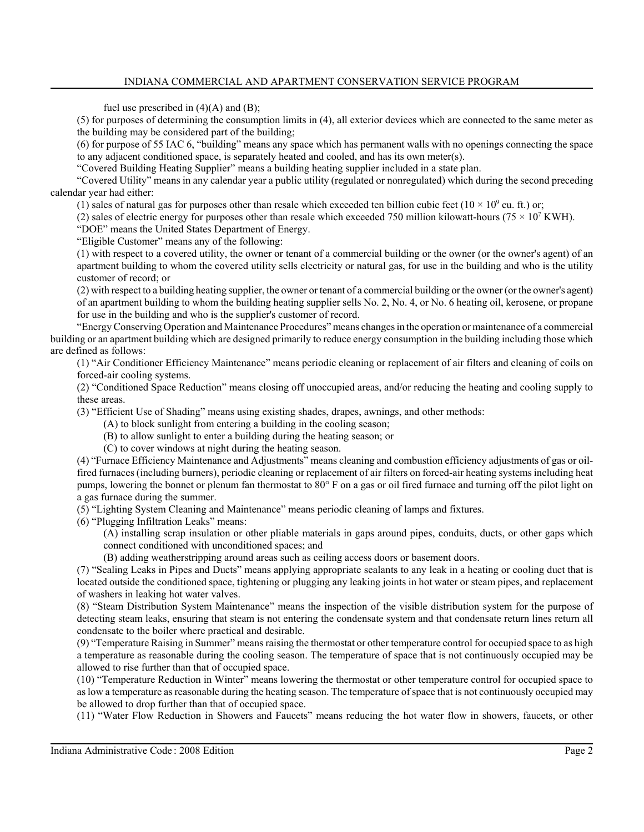fuel use prescribed in  $(4)(A)$  and  $(B)$ ;

(5) for purposes of determining the consumption limits in (4), all exterior devices which are connected to the same meter as the building may be considered part of the building;

(6) for purpose of 55 IAC 6, "building" means any space which has permanent walls with no openings connecting the space to any adjacent conditioned space, is separately heated and cooled, and has its own meter(s).

"Covered Building Heating Supplier" means a building heating supplier included in a state plan.

"Covered Utility" means in any calendar year a public utility (regulated or nonregulated) which during the second preceding calendar year had either:

(1) sales of natural gas for purposes other than resale which exceeded ten billion cubic feet ( $10 \times 10^9$  cu. ft.) or;

(2) sales of electric energy for purposes other than resale which exceeded 750 million kilowatt-hours (75  $\times$  10<sup>7</sup> KWH).

"DOE" means the United States Department of Energy.

"Eligible Customer" means any of the following:

(1) with respect to a covered utility, the owner or tenant of a commercial building or the owner (or the owner's agent) of an apartment building to whom the covered utility sells electricity or natural gas, for use in the building and who is the utility customer of record; or

(2) with respect to a building heating supplier, the owner or tenant of a commercial building or the owner (or the owner's agent) of an apartment building to whom the building heating supplier sells No. 2, No. 4, or No. 6 heating oil, kerosene, or propane for use in the building and who is the supplier's customer of record.

"Energy Conserving Operation and Maintenance Procedures" means changes in the operation or maintenance of a commercial building or an apartment building which are designed primarily to reduce energy consumption in the building including those which are defined as follows:

(1) "Air Conditioner Efficiency Maintenance" means periodic cleaning or replacement of air filters and cleaning of coils on forced-air cooling systems.

(2) "Conditioned Space Reduction" means closing off unoccupied areas, and/or reducing the heating and cooling supply to these areas.

(3) "Efficient Use of Shading" means using existing shades, drapes, awnings, and other methods:

(A) to block sunlight from entering a building in the cooling season;

(B) to allow sunlight to enter a building during the heating season; or

(C) to cover windows at night during the heating season.

(4) "Furnace Efficiency Maintenance and Adjustments" means cleaning and combustion efficiency adjustments of gas or oilfired furnaces (including burners), periodic cleaning or replacement of air filters on forced-air heating systems including heat pumps, lowering the bonnet or plenum fan thermostat to 80° F on a gas or oil fired furnace and turning off the pilot light on a gas furnace during the summer.

(5) "Lighting System Cleaning and Maintenance" means periodic cleaning of lamps and fixtures.

(6) "Plugging Infiltration Leaks" means:

(A) installing scrap insulation or other pliable materials in gaps around pipes, conduits, ducts, or other gaps which connect conditioned with unconditioned spaces; and

(B) adding weatherstripping around areas such as ceiling access doors or basement doors.

(7) "Sealing Leaks in Pipes and Ducts" means applying appropriate sealants to any leak in a heating or cooling duct that is located outside the conditioned space, tightening or plugging any leaking joints in hot water or steam pipes, and replacement of washers in leaking hot water valves.

(8) "Steam Distribution System Maintenance" means the inspection of the visible distribution system for the purpose of detecting steam leaks, ensuring that steam is not entering the condensate system and that condensate return lines return all condensate to the boiler where practical and desirable.

(9) "Temperature Raising in Summer" means raising the thermostat or other temperature control for occupied space to as high a temperature as reasonable during the cooling season. The temperature of space that is not continuously occupied may be allowed to rise further than that of occupied space.

(10) "Temperature Reduction in Winter" means lowering the thermostat or other temperature control for occupied space to as low a temperature as reasonable during the heating season. The temperature of space that is not continuously occupied may be allowed to drop further than that of occupied space.

(11) "Water Flow Reduction in Showers and Faucets" means reducing the hot water flow in showers, faucets, or other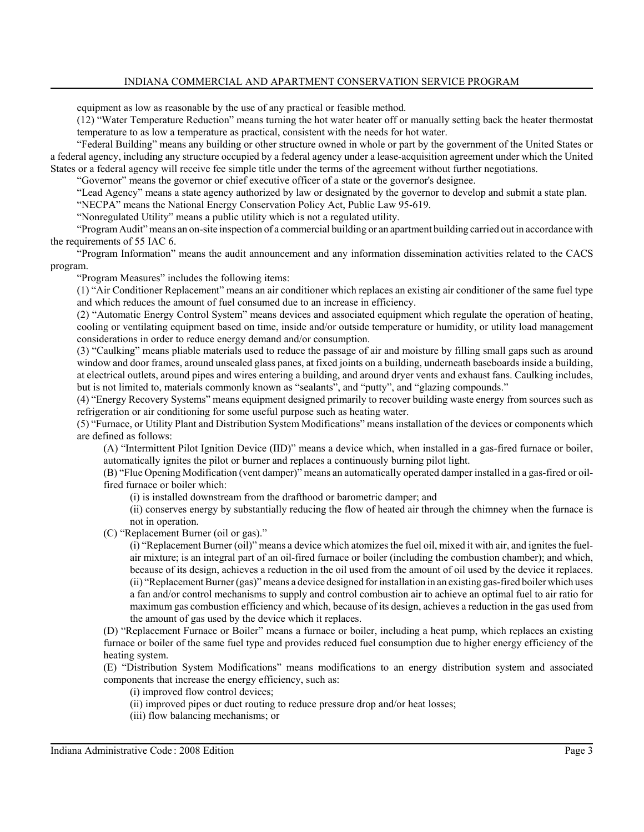equipment as low as reasonable by the use of any practical or feasible method.

(12) "Water Temperature Reduction" means turning the hot water heater off or manually setting back the heater thermostat temperature to as low a temperature as practical, consistent with the needs for hot water.

"Federal Building" means any building or other structure owned in whole or part by the government of the United States or a federal agency, including any structure occupied by a federal agency under a lease-acquisition agreement under which the United States or a federal agency will receive fee simple title under the terms of the agreement without further negotiations.

"Governor" means the governor or chief executive officer of a state or the governor's designee.

"Lead Agency" means a state agency authorized by law or designated by the governor to develop and submit a state plan.

"NECPA" means the National Energy Conservation Policy Act, Public Law 95-619.

"Nonregulated Utility" means a public utility which is not a regulated utility.

"Program Audit" means an on-site inspection of a commercial building or an apartment building carried out in accordance with the requirements of 55 IAC 6.

"Program Information" means the audit announcement and any information dissemination activities related to the CACS program.

"Program Measures" includes the following items:

(1) "Air Conditioner Replacement" means an air conditioner which replaces an existing air conditioner of the same fuel type and which reduces the amount of fuel consumed due to an increase in efficiency.

(2) "Automatic Energy Control System" means devices and associated equipment which regulate the operation of heating, cooling or ventilating equipment based on time, inside and/or outside temperature or humidity, or utility load management considerations in order to reduce energy demand and/or consumption.

(3) "Caulking" means pliable materials used to reduce the passage of air and moisture by filling small gaps such as around window and door frames, around unsealed glass panes, at fixed joints on a building, underneath baseboards inside a building, at electrical outlets, around pipes and wires entering a building, and around dryer vents and exhaust fans. Caulking includes, but is not limited to, materials commonly known as "sealants", and "putty", and "glazing compounds."

(4) "Energy Recovery Systems" means equipment designed primarily to recover building waste energy from sources such as refrigeration or air conditioning for some useful purpose such as heating water.

(5) "Furnace, or Utility Plant and Distribution System Modifications" means installation of the devices or components which are defined as follows:

(A) "Intermittent Pilot Ignition Device (IID)" means a device which, when installed in a gas-fired furnace or boiler, automatically ignites the pilot or burner and replaces a continuously burning pilot light.

(B) "Flue Opening Modification (vent damper)" means an automatically operated damper installed in a gas-fired or oilfired furnace or boiler which:

(i) is installed downstream from the drafthood or barometric damper; and

(ii) conserves energy by substantially reducing the flow of heated air through the chimney when the furnace is not in operation.

(C) "Replacement Burner (oil or gas)."

(i) "Replacement Burner (oil)" means a device which atomizes the fuel oil, mixed it with air, and ignites the fuelair mixture; is an integral part of an oil-fired furnace or boiler (including the combustion chamber); and which, because of its design, achieves a reduction in the oil used from the amount of oil used by the device it replaces. (ii) "Replacement Burner (gas)" means a device designed for installation in an existing gas-fired boiler which uses a fan and/or control mechanisms to supply and control combustion air to achieve an optimal fuel to air ratio for maximum gas combustion efficiency and which, because of its design, achieves a reduction in the gas used from the amount of gas used by the device which it replaces.

(D) "Replacement Furnace or Boiler" means a furnace or boiler, including a heat pump, which replaces an existing furnace or boiler of the same fuel type and provides reduced fuel consumption due to higher energy efficiency of the heating system.

(E) "Distribution System Modifications" means modifications to an energy distribution system and associated components that increase the energy efficiency, such as:

(i) improved flow control devices;

(ii) improved pipes or duct routing to reduce pressure drop and/or heat losses;

(iii) flow balancing mechanisms; or

Indiana Administrative Code : 2008 Edition **Figure 3** : 2008 **Page 3**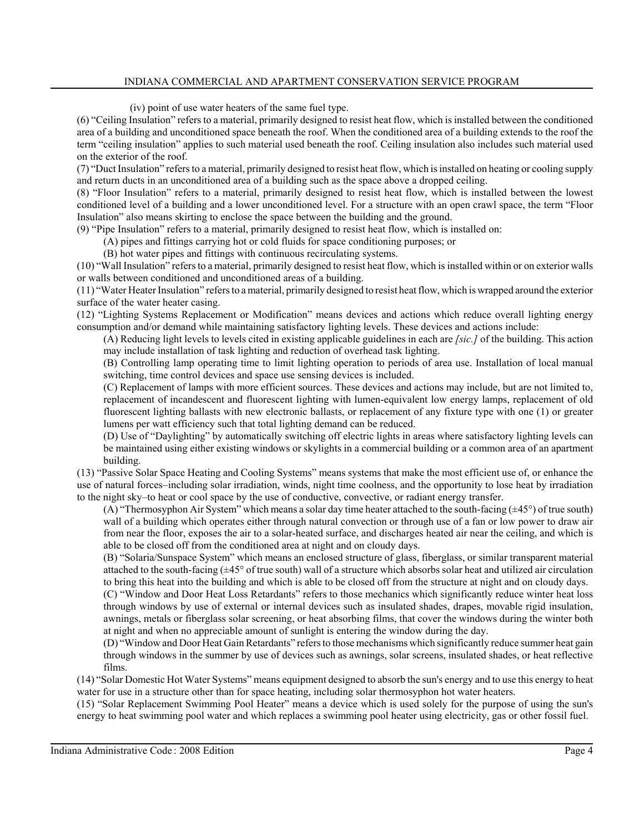(iv) point of use water heaters of the same fuel type.

(6) "Ceiling Insulation" refers to a material, primarily designed to resist heat flow, which is installed between the conditioned area of a building and unconditioned space beneath the roof. When the conditioned area of a building extends to the roof the term "ceiling insulation" applies to such material used beneath the roof. Ceiling insulation also includes such material used on the exterior of the roof.

(7) "Duct Insulation" refers to a material, primarily designed to resist heat flow, which is installed on heating or cooling supply and return ducts in an unconditioned area of a building such as the space above a dropped ceiling.

(8) "Floor Insulation" refers to a material, primarily designed to resist heat flow, which is installed between the lowest conditioned level of a building and a lower unconditioned level. For a structure with an open crawl space, the term "Floor Insulation" also means skirting to enclose the space between the building and the ground.

(9) "Pipe Insulation" refers to a material, primarily designed to resist heat flow, which is installed on:

(A) pipes and fittings carrying hot or cold fluids for space conditioning purposes; or

(B) hot water pipes and fittings with continuous recirculating systems.

(10) "Wall Insulation" refers to a material, primarily designed to resist heat flow, which is installed within or on exterior walls or walls between conditioned and unconditioned areas of a building.

(11) "Water Heater Insulation" refers to a material, primarily designed to resist heat flow, which is wrapped around the exterior surface of the water heater casing.

(12) "Lighting Systems Replacement or Modification" means devices and actions which reduce overall lighting energy consumption and/or demand while maintaining satisfactory lighting levels. These devices and actions include:

(A) Reducing light levels to levels cited in existing applicable guidelines in each are *[sic.]* of the building. This action may include installation of task lighting and reduction of overhead task lighting.

(B) Controlling lamp operating time to limit lighting operation to periods of area use. Installation of local manual switching, time control devices and space use sensing devices is included.

(C) Replacement of lamps with more efficient sources. These devices and actions may include, but are not limited to, replacement of incandescent and fluorescent lighting with lumen-equivalent low energy lamps, replacement of old fluorescent lighting ballasts with new electronic ballasts, or replacement of any fixture type with one (1) or greater lumens per watt efficiency such that total lighting demand can be reduced.

(D) Use of "Daylighting" by automatically switching off electric lights in areas where satisfactory lighting levels can be maintained using either existing windows or skylights in a commercial building or a common area of an apartment building.

(13) "Passive Solar Space Heating and Cooling Systems" means systems that make the most efficient use of, or enhance the use of natural forces–including solar irradiation, winds, night time coolness, and the opportunity to lose heat by irradiation to the night sky–to heat or cool space by the use of conductive, convective, or radiant energy transfer.

(A) "Thermosyphon Air System" which means a solar day time heater attached to the south-facing  $(\pm 45^{\circ})$  of true south) wall of a building which operates either through natural convection or through use of a fan or low power to draw air from near the floor, exposes the air to a solar-heated surface, and discharges heated air near the ceiling, and which is able to be closed off from the conditioned area at night and on cloudy days.

(B) "Solaria/Sunspace System" which means an enclosed structure of glass, fiberglass, or similar transparent material attached to the south-facing (±45° of true south) wall of a structure which absorbs solar heat and utilized air circulation to bring this heat into the building and which is able to be closed off from the structure at night and on cloudy days.

(C) "Window and Door Heat Loss Retardants" refers to those mechanics which significantly reduce winter heat loss through windows by use of external or internal devices such as insulated shades, drapes, movable rigid insulation, awnings, metals or fiberglass solar screening, or heat absorbing films, that cover the windows during the winter both at night and when no appreciable amount of sunlight is entering the window during the day.

(D) "Window and Door Heat Gain Retardants" refers to those mechanisms which significantly reduce summer heat gain through windows in the summer by use of devices such as awnings, solar screens, insulated shades, or heat reflective films.

(14) "Solar Domestic Hot Water Systems" means equipment designed to absorb the sun's energy and to use this energy to heat water for use in a structure other than for space heating, including solar thermosyphon hot water heaters.

(15) "Solar Replacement Swimming Pool Heater" means a device which is used solely for the purpose of using the sun's energy to heat swimming pool water and which replaces a swimming pool heater using electricity, gas or other fossil fuel.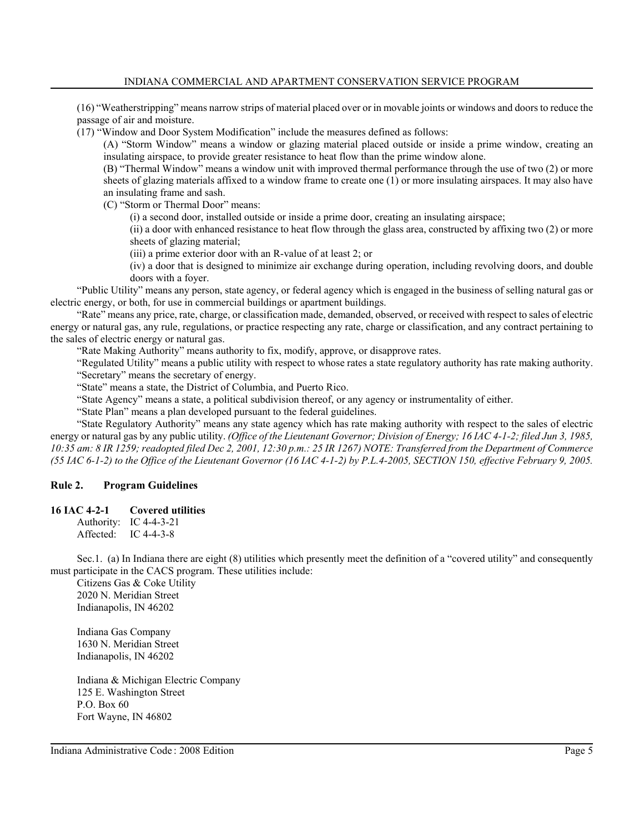(16) "Weatherstripping" means narrow strips of material placed over or in movable joints or windows and doors to reduce the passage of air and moisture.

(17) "Window and Door System Modification" include the measures defined as follows:

(A) "Storm Window" means a window or glazing material placed outside or inside a prime window, creating an insulating airspace, to provide greater resistance to heat flow than the prime window alone.

(B) "Thermal Window" means a window unit with improved thermal performance through the use of two (2) or more sheets of glazing materials affixed to a window frame to create one (1) or more insulating airspaces. It may also have an insulating frame and sash.

(C) "Storm or Thermal Door" means:

(i) a second door, installed outside or inside a prime door, creating an insulating airspace;

(ii) a door with enhanced resistance to heat flow through the glass area, constructed by affixing two (2) or more sheets of glazing material;

(iii) a prime exterior door with an R-value of at least 2; or

(iv) a door that is designed to minimize air exchange during operation, including revolving doors, and double doors with a foyer.

"Public Utility" means any person, state agency, or federal agency which is engaged in the business of selling natural gas or electric energy, or both, for use in commercial buildings or apartment buildings.

"Rate" means any price, rate, charge, or classification made, demanded, observed, or received with respect to sales of electric energy or natural gas, any rule, regulations, or practice respecting any rate, charge or classification, and any contract pertaining to the sales of electric energy or natural gas.

"Rate Making Authority" means authority to fix, modify, approve, or disapprove rates.

"Regulated Utility" means a public utility with respect to whose rates a state regulatory authority has rate making authority.

"Secretary" means the secretary of energy.

"State" means a state, the District of Columbia, and Puerto Rico.

"State Agency" means a state, a political subdivision thereof, or any agency or instrumentality of either.

"State Plan" means a plan developed pursuant to the federal guidelines.

"State Regulatory Authority" means any state agency which has rate making authority with respect to the sales of electric energy or natural gas by any public utility. *(Office of the Lieutenant Governor; Division of Energy; 16 IAC 4-1-2; filed Jun 3, 1985, 10:35 am: 8 IR 1259; readopted filed Dec 2, 2001, 12:30 p.m.: 25 IR 1267) NOTE: Transferred from the Department of Commerce (55 IAC 6-1-2) to the Office of the Lieutenant Governor (16 IAC 4-1-2) by P.L.4-2005, SECTION 150, effective February 9, 2005.*

## **Rule 2. Program Guidelines**

## **16 IAC 4-2-1 Covered utilities**

Authority: IC 4-4-3-21 Affected: IC 4-4-3-8

Sec.1. (a) In Indiana there are eight (8) utilities which presently meet the definition of a "covered utility" and consequently must participate in the CACS program. These utilities include:

Citizens Gas & Coke Utility 2020 N. Meridian Street Indianapolis, IN 46202

Indiana Gas Company 1630 N. Meridian Street Indianapolis, IN 46202

Indiana & Michigan Electric Company 125 E. Washington Street P.O. Box 60 Fort Wayne, IN 46802

Indiana Administrative Code : 2008 Edition **Figure 1, 2008** S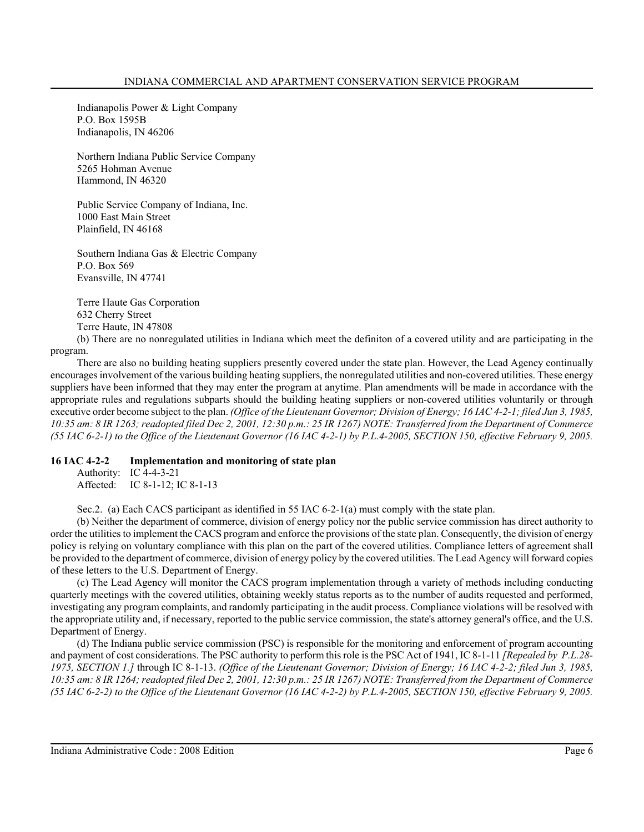Indianapolis Power & Light Company P.O. Box 1595B Indianapolis, IN 46206

Northern Indiana Public Service Company 5265 Hohman Avenue Hammond, IN 46320

Public Service Company of Indiana, Inc. 1000 East Main Street Plainfield, IN 46168

Southern Indiana Gas & Electric Company P.O. Box 569 Evansville, IN 47741

Terre Haute Gas Corporation 632 Cherry Street Terre Haute, IN 47808

(b) There are no nonregulated utilities in Indiana which meet the definiton of a covered utility and are participating in the program.

There are also no building heating suppliers presently covered under the state plan. However, the Lead Agency continually encourages involvement of the various building heating suppliers, the nonregulated utilities and non-covered utilities. These energy suppliers have been informed that they may enter the program at anytime. Plan amendments will be made in accordance with the appropriate rules and regulations subparts should the building heating suppliers or non-covered utilities voluntarily or through executive order become subject to the plan. *(Office of the Lieutenant Governor; Division of Energy; 16 IAC 4-2-1; filed Jun 3, 1985, 10:35 am: 8 IR 1263; readopted filed Dec 2, 2001, 12:30 p.m.: 25 IR 1267) NOTE: Transferred from the Department of Commerce (55 IAC 6-2-1) to the Office of the Lieutenant Governor (16 IAC 4-2-1) by P.L.4-2005, SECTION 150, effective February 9, 2005.*

## **16 IAC 4-2-2 Implementation and monitoring of state plan**

Authority: IC 4-4-3-21 Affected: IC 8-1-12; IC 8-1-13

Sec.2. (a) Each CACS participant as identified in 55 IAC 6-2-1(a) must comply with the state plan.

(b) Neither the department of commerce, division of energy policy nor the public service commission has direct authority to order the utilities to implement the CACS program and enforce the provisions of the state plan. Consequently, the division of energy policy is relying on voluntary compliance with this plan on the part of the covered utilities. Compliance letters of agreement shall be provided to the department of commerce, division of energy policy by the covered utilities. The Lead Agency will forward copies of these letters to the U.S. Department of Energy.

(c) The Lead Agency will monitor the CACS program implementation through a variety of methods including conducting quarterly meetings with the covered utilities, obtaining weekly status reports as to the number of audits requested and performed, investigating any program complaints, and randomly participating in the audit process. Compliance violations will be resolved with the appropriate utility and, if necessary, reported to the public service commission, the state's attorney general's office, and the U.S. Department of Energy.

(d) The Indiana public service commission (PSC) is responsible for the monitoring and enforcement of program accounting and payment of cost considerations. The PSC authority to perform this role is the PSC Act of 1941, IC 8-1-11 *[Repealed by P.L.28- 1975, SECTION 1.]* through IC 8-1-13. *(Office of the Lieutenant Governor; Division of Energy; 16 IAC 4-2-2; filed Jun 3, 1985, 10:35 am: 8 IR 1264; readopted filed Dec 2, 2001, 12:30 p.m.: 25 IR 1267) NOTE: Transferred from the Department of Commerce (55 IAC 6-2-2) to the Office of the Lieutenant Governor (16 IAC 4-2-2) by P.L.4-2005, SECTION 150, effective February 9, 2005.*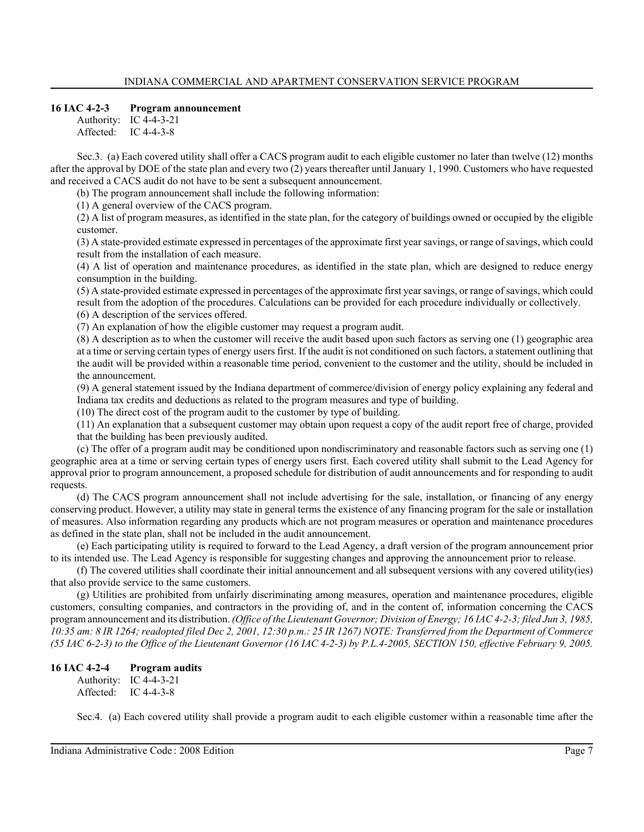## **16 IAC 4-2-3 Program announcement**

Authority: IC 4-4-3-21 Affected: IC 4-4-3-8

Sec.3. (a) Each covered utility shall offer a CACS program audit to each eligible customer no later than twelve (12) months after the approval by DOE of the state plan and every two (2) years thereafter until January 1, 1990. Customers who have requested and received a CACS audit do not have to be sent a subsequent announcement.

(b) The program announcement shall include the following information:

(1) A general overview of the CACS program.

(2) A list of program measures, as identified in the state plan, for the category of buildings owned or occupied by the eligible customer.

(3) A state-provided estimate expressed in percentages of the approximate first year savings, or range of savings, which could result from the installation of each measure.

(4) A list of operation and maintenance procedures, as identified in the state plan, which are designed to reduce energy consumption in the building.

(5) A state-provided estimate expressed in percentages of the approximate first year savings, or range of savings, which could result from the adoption of the procedures. Calculations can be provided for each procedure individually or collectively.

(6) A description of the services offered.

(7) An explanation of how the eligible customer may request a program audit.

(8) A description as to when the customer will receive the audit based upon such factors as serving one (1) geographic area at a time or serving certain types of energy users first. If the audit is not conditioned on such factors, a statement outlining that the audit will be provided within a reasonable time period, convenient to the customer and the utility, should be included in the announcement.

(9) A general statement issued by the Indiana department of commerce/division of energy policy explaining any federal and Indiana tax credits and deductions as related to the program measures and type of building.

(10) The direct cost of the program audit to the customer by type of building.

(11) An explanation that a subsequent customer may obtain upon request a copy of the audit report free of charge, provided that the building has been previously audited.

(c) The offer of a program audit may be conditioned upon nondiscriminatory and reasonable factors such as serving one (1) geographic area at a time or serving certain types of energy users first. Each covered utility shall submit to the Lead Agency for approval prior to program announcement, a proposed schedule for distribution of audit announcements and for responding to audit requests.

(d) The CACS program announcement shall not include advertising for the sale, installation, or financing of any energy conserving product. However, a utility may state in general terms the existence of any financing program for the sale or installation of measures. Also information regarding any products which are not program measures or operation and maintenance procedures as defined in the state plan, shall not be included in the audit announcement.

(e) Each participating utility is required to forward to the Lead Agency, a draft version of the program announcement prior to its intended use. The Lead Agency is responsible for suggesting changes and approving the announcement prior to release.

(f) The covered utilities shall coordinate their initial announcement and all subsequent versions with any covered utility(ies) that also provide service to the same customers.

(g) Utilities are prohibited from unfairly discriminating among measures, operation and maintenance procedures, eligible customers, consulting companies, and contractors in the providing of, and in the content of, information concerning the CACS program announcement and its distribution. *(Office of the Lieutenant Governor; Division of Energy; 16 IAC 4-2-3; filed Jun 3, 1985, 10:35 am: 8 IR 1264; readopted filed Dec 2, 2001, 12:30 p.m.: 25 IR 1267) NOTE: Transferred from the Department of Commerce (55 IAC 6-2-3) to the Office of the Lieutenant Governor (16 IAC 4-2-3) by P.L.4-2005, SECTION 150, effective February 9, 2005.*

# **16 IAC 4-2-4 Program audits**

Authority: IC 4-4-3-21 Affected: IC 4-4-3-8

Sec.4. (a) Each covered utility shall provide a program audit to each eligible customer within a reasonable time after the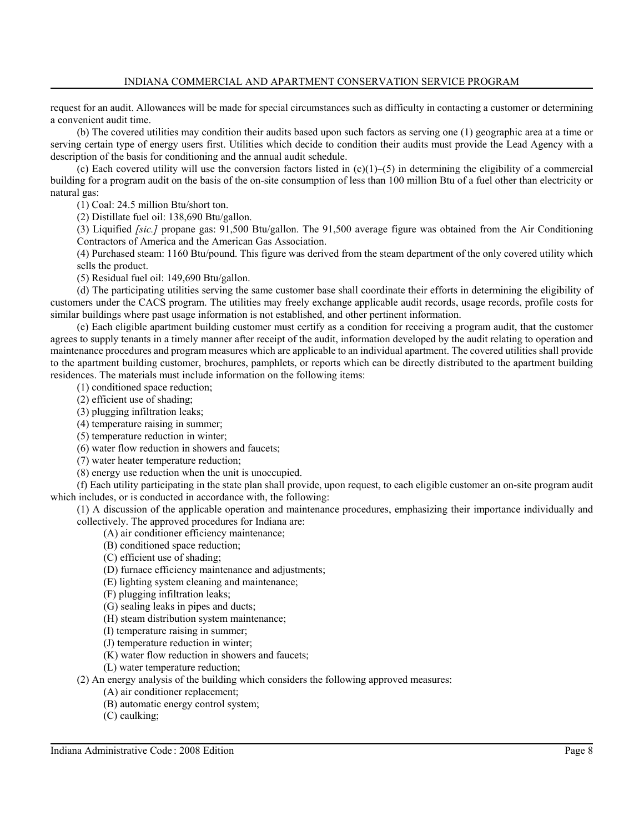request for an audit. Allowances will be made for special circumstances such as difficulty in contacting a customer or determining a convenient audit time.

(b) The covered utilities may condition their audits based upon such factors as serving one (1) geographic area at a time or serving certain type of energy users first. Utilities which decide to condition their audits must provide the Lead Agency with a description of the basis for conditioning and the annual audit schedule.

(c) Each covered utility will use the conversion factors listed in  $(c)(1)-(5)$  in determining the eligibility of a commercial building for a program audit on the basis of the on-site consumption of less than 100 million Btu of a fuel other than electricity or natural gas:

(1) Coal: 24.5 million Btu/short ton.

(2) Distillate fuel oil: 138,690 Btu/gallon.

(3) Liquified *[sic.]* propane gas: 91,500 Btu/gallon. The 91,500 average figure was obtained from the Air Conditioning Contractors of America and the American Gas Association.

(4) Purchased steam: 1160 Btu/pound. This figure was derived from the steam department of the only covered utility which sells the product.

(5) Residual fuel oil: 149,690 Btu/gallon.

(d) The participating utilities serving the same customer base shall coordinate their efforts in determining the eligibility of customers under the CACS program. The utilities may freely exchange applicable audit records, usage records, profile costs for similar buildings where past usage information is not established, and other pertinent information.

(e) Each eligible apartment building customer must certify as a condition for receiving a program audit, that the customer agrees to supply tenants in a timely manner after receipt of the audit, information developed by the audit relating to operation and maintenance procedures and program measures which are applicable to an individual apartment. The covered utilities shall provide to the apartment building customer, brochures, pamphlets, or reports which can be directly distributed to the apartment building residences. The materials must include information on the following items:

(1) conditioned space reduction;

- (2) efficient use of shading;
- (3) plugging infiltration leaks;

(4) temperature raising in summer;

(5) temperature reduction in winter;

(6) water flow reduction in showers and faucets;

(7) water heater temperature reduction;

(8) energy use reduction when the unit is unoccupied.

(f) Each utility participating in the state plan shall provide, upon request, to each eligible customer an on-site program audit which includes, or is conducted in accordance with, the following:

(1) A discussion of the applicable operation and maintenance procedures, emphasizing their importance individually and collectively. The approved procedures for Indiana are:

(A) air conditioner efficiency maintenance;

(B) conditioned space reduction;

(C) efficient use of shading;

(D) furnace efficiency maintenance and adjustments;

(E) lighting system cleaning and maintenance;

(F) plugging infiltration leaks;

(G) sealing leaks in pipes and ducts;

(H) steam distribution system maintenance;

(I) temperature raising in summer;

(J) temperature reduction in winter;

(K) water flow reduction in showers and faucets;

(L) water temperature reduction;

(2) An energy analysis of the building which considers the following approved measures:

(A) air conditioner replacement; (B) automatic energy control system;

(C) caulking;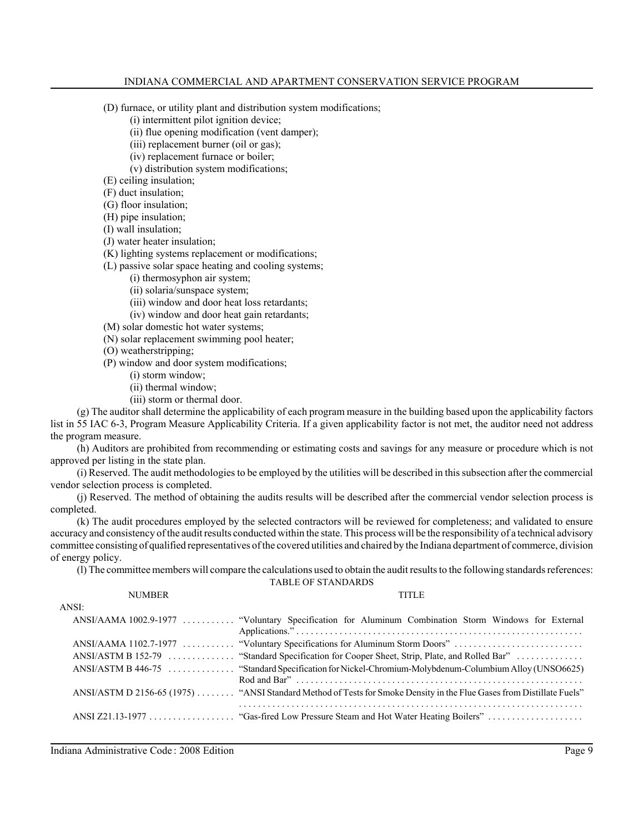- (D) furnace, or utility plant and distribution system modifications;
	- (i) intermittent pilot ignition device;
	- (ii) flue opening modification (vent damper);
	- (iii) replacement burner (oil or gas);
	- (iv) replacement furnace or boiler;
	- (v) distribution system modifications;
- (E) ceiling insulation;
- (F) duct insulation;
- (G) floor insulation;
- (H) pipe insulation;
- (I) wall insulation;
- (J) water heater insulation;
- (K) lighting systems replacement or modifications;
- (L) passive solar space heating and cooling systems;
	- (i) thermosyphon air system;
	- (ii) solaria/sunspace system;
	- (iii) window and door heat loss retardants;
	- (iv) window and door heat gain retardants;
- (M) solar domestic hot water systems;
- (N) solar replacement swimming pool heater;
- (O) weatherstripping;

(P) window and door system modifications;

- (i) storm window;
- (ii) thermal window;
- (iii) storm or thermal door.

(g) The auditor shall determine the applicability of each program measure in the building based upon the applicability factors list in 55 IAC 6-3, Program Measure Applicability Criteria. If a given applicability factor is not met, the auditor need not address the program measure.

(h) Auditors are prohibited from recommending or estimating costs and savings for any measure or procedure which is not approved per listing in the state plan.

(i) Reserved. The audit methodologies to be employed by the utilities will be described in this subsection after the commercial vendor selection process is completed.

(j) Reserved. The method of obtaining the audits results will be described after the commercial vendor selection process is completed.

(k) The audit procedures employed by the selected contractors will be reviewed for completeness; and validated to ensure accuracy and consistency of the audit results conducted within the state. This process will be the responsibility of a technical advisory committee consisting of qualified representatives of the covered utilities and chaired by the Indiana department of commerce, division of energy policy.

(l) The committee members will compare the calculations used to obtain the audit results to the following standards references:

TABLE OF STANDARDS

| <b>NUMBER</b> | <b>TITLE</b>                                                                                                          |
|---------------|-----------------------------------------------------------------------------------------------------------------------|
| ANSI:         |                                                                                                                       |
|               | ANSI/AAMA 1002.9-1977  "Voluntary Specification for Aluminum Combination Storm Windows for External                   |
|               | ANSI/AAMA 1102.7-1977  "Voluntary Specifications for Aluminum Storm Doors"                                            |
|               | ANSI/ASTM B 152-79  "Standard Specification for Cooper Sheet, Strip, Plate, and Rolled Bar"                           |
|               |                                                                                                                       |
|               | ANSI/ASTM D 2156-65 (1975)  "ANSI Standard Method of Tests for Smoke Density in the Flue Gases from Distillate Fuels" |
|               |                                                                                                                       |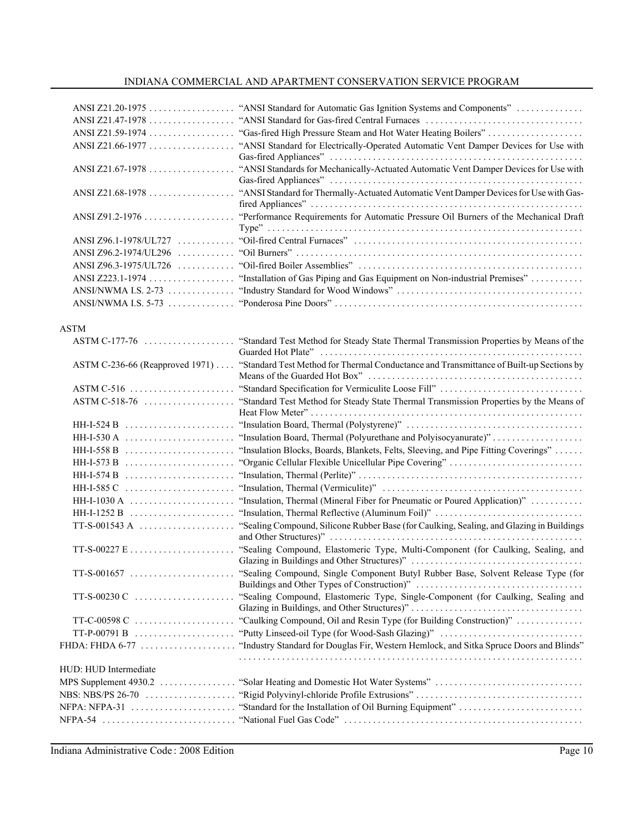|                       | "ANSI Standard for Automatic Gas Ignition Systems and Components"<br>"ANSI Standard for Gas-fired Central Furnaces       |
|-----------------------|--------------------------------------------------------------------------------------------------------------------------|
| ANSI Z21.66-1977      | "ANSI Standard for Electrically-Operated Automatic Vent Damper Devices for Use with                                      |
| ANSI Z21.67-1978      | "ANSI Standards for Mechanically-Actuated Automatic Vent Damper Devices for Use with                                     |
| ANSI Z21.68-1978      | "ANSI Standard for Thermally-Actuated Automatic Vent Damper Devices for Use with Gas-                                    |
|                       | "Performance Requirements for Automatic Pressure Oil Burners of the Mechanical Draft                                     |
|                       |                                                                                                                          |
|                       |                                                                                                                          |
|                       |                                                                                                                          |
|                       |                                                                                                                          |
|                       |                                                                                                                          |
| ANSI/NWMA I.S. $5-73$ |                                                                                                                          |
| <b>ASTM</b>           |                                                                                                                          |
| ASTM C-177-76         | "Standard Test Method for Steady State Thermal Transmission Properties by Means of the                                   |
|                       | ASTM C-236-66 (Reapproved 1971)  "Standard Test Method for Thermal Conductance and Transmittance of Built-up Sections by |
|                       |                                                                                                                          |
| $ASTM C-518-76$       | "Standard Test Method for Steady State Thermal Transmission Properties by the Means of                                   |
| $HH-I-524 B$          |                                                                                                                          |
| $HH-I-530A$           |                                                                                                                          |
| $HH-I-558B$           | "Insulation Blocks, Boards, Blankets, Felts, Sleeving, and Pipe Fitting Coverings"                                       |
| HH-I-573 B            |                                                                                                                          |
| $HH-I-574 B$          |                                                                                                                          |
| $HH-I-585 C$          |                                                                                                                          |
| $HH-I-1030 A$         | "Insulation, Thermal (Mineral Fiber for Pneumatic or Poured Application)"                                                |
| $HH-I-1252 B$         | "Insulation, Thermal Reflective (Aluminum Foil)"                                                                         |
|                       | "Sealing Compound, Silicone Rubber Base (for Caulking, Sealing, and Glazing in Buildings                                 |
|                       | "Sealing Compound, Elastomeric Type, Multi-Component (for Caulking, Sealing, and                                         |
|                       |                                                                                                                          |
|                       |                                                                                                                          |
| $TT-C-00598 C$        | "Caulking Compound, Oil and Resin Type (for Building Construction)"                                                      |
|                       |                                                                                                                          |
|                       |                                                                                                                          |
| HUD: HUD Intermediate |                                                                                                                          |
|                       |                                                                                                                          |
|                       |                                                                                                                          |
| $NFPA: NFPA-31$       |                                                                                                                          |
|                       |                                                                                                                          |

Indiana Administrative Code : 2008 Edition **Figure 2008 Example 2008 Page 10**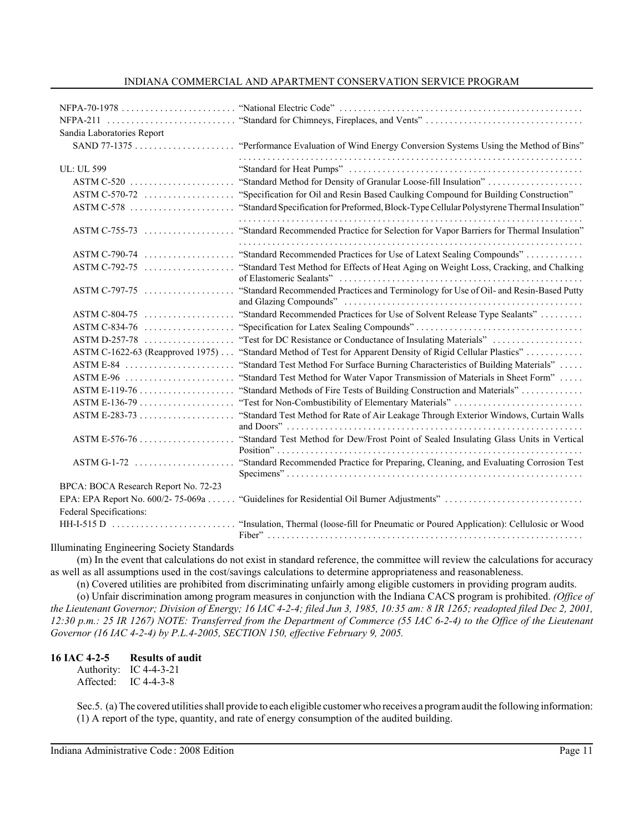| $NFPA-70-1978$                       |                                                                                            |
|--------------------------------------|--------------------------------------------------------------------------------------------|
| $NFPA-211$                           |                                                                                            |
| Sandia Laboratories Report           |                                                                                            |
|                                      | "Performance Evaluation of Wind Energy Conversion Systems Using the Method of Bins"        |
| <b>UL: UL 599</b>                    |                                                                                            |
| $ASTM C-520$                         | "Standard Method for Density of Granular Loose-fill Insulation"                            |
| $ASTM C-570-72$                      | "Specification for Oil and Resin Based Caulking Compound for Building Construction"        |
| ASTM C-578                           | "Standard Specification for Preformed, Block-Type Cellular Polystyrene Thermal Insulation" |
| $ASTM C-755-73$                      | "Standard Recommended Practice for Selection for Vapor Barriers for Thermal Insulation"    |
| $ASTM C-790-74$                      | "Standard Recommended Practices for Use of Latext Sealing Compounds"                       |
| $ASTM C-792-75$                      | "Standard Test Method for Effects of Heat Aging on Weight Loss, Cracking, and Chalking     |
| $ASTM C-797-75$                      | "Standard Recommended Practices and Terminology for Use of Oil- and Resin-Based Putty      |
| $ASTM C-804-75$                      | "Standard Recommended Practices for Use of Solvent Release Type Sealants"                  |
| ASTM C-834-76                        |                                                                                            |
| ASTM D-257-78                        | "Test for DC Resistance or Conductance of Insulating Materials"                            |
| ASTM C-1622-63 (Reapproved 1975)     | "Standard Method of Test for Apparent Density of Rigid Cellular Plastics"                  |
| $ASTM E-84$                          | "Standard Test Method For Surface Burning Characteristics of Building Materials"           |
|                                      | "Standard Test Method for Water Vapor Transmission of Materials in Sheet Form"             |
|                                      | "Standard Methods of Fire Tests of Building Construction and Materials"                    |
|                                      |                                                                                            |
|                                      | "Standard Test Method for Rate of Air Leakage Through Exterior Windows, Curtain Walls      |
| $ASTM E-576-76$                      | "Standard Test Method for Dew/Frost Point of Sealed Insulating Glass Units in Vertical     |
|                                      | "Standard Recommended Practice for Preparing, Cleaning, and Evaluating Corrosion Test      |
| BPCA: BOCA Research Report No. 72-23 |                                                                                            |
| EPA: EPA Report No. 600/2-75-069a    |                                                                                            |
| Federal Specifications:              |                                                                                            |
| $HH-I-515D$                          | "Insulation, Thermal (loose-fill for Pneumatic or Poured Application): Cellulosic or Wood  |

Illuminating Engineering Society Standards

(m) In the event that calculations do not exist in standard reference, the committee will review the calculations for accuracy as well as all assumptions used in the cost/savings calculations to determine appropriateness and reasonableness.

(n) Covered utilities are prohibited from discriminating unfairly among eligible customers in providing program audits. (o) Unfair discrimination among program measures in conjunction with the Indiana CACS program is prohibited. *(Office of the Lieutenant Governor; Division of Energy; 16 IAC 4-2-4; filed Jun 3, 1985, 10:35 am: 8 IR 1265; readopted filed Dec 2, 2001, 12:30 p.m.: 25 IR 1267) NOTE: Transferred from the Department of Commerce (55 IAC 6-2-4) to the Office of the Lieutenant Governor (16 IAC 4-2-4) by P.L.4-2005, SECTION 150, effective February 9, 2005.*

## **16 IAC 4-2-5 Results of audit**

Authority: IC 4-4-3-21 Affected: IC 4-4-3-8

Sec.5. (a) The covered utilities shall provide to each eligible customer who receives a program audit the following information: (1) A report of the type, quantity, and rate of energy consumption of the audited building.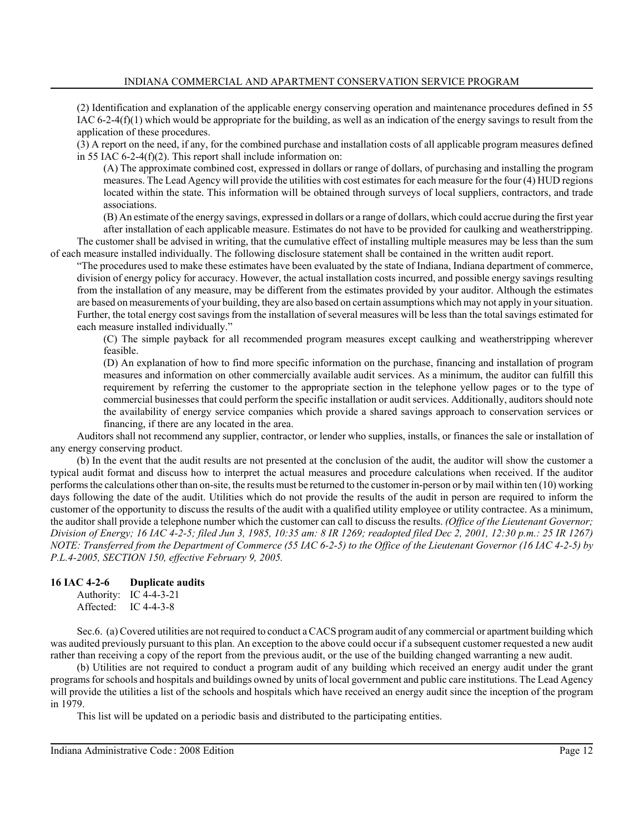(2) Identification and explanation of the applicable energy conserving operation and maintenance procedures defined in 55 IAC 6-2-4(f)(1) which would be appropriate for the building, as well as an indication of the energy savings to result from the application of these procedures.

(3) A report on the need, if any, for the combined purchase and installation costs of all applicable program measures defined in 55 IAC 6-2-4(f)(2). This report shall include information on:

(A) The approximate combined cost, expressed in dollars or range of dollars, of purchasing and installing the program measures. The Lead Agency will provide the utilities with cost estimates for each measure for the four (4) HUD regions located within the state. This information will be obtained through surveys of local suppliers, contractors, and trade associations.

(B) An estimate of the energy savings, expressed in dollars or a range of dollars, which could accrue during the first year after installation of each applicable measure. Estimates do not have to be provided for caulking and weatherstripping.

The customer shall be advised in writing, that the cumulative effect of installing multiple measures may be less than the sum of each measure installed individually. The following disclosure statement shall be contained in the written audit report.

"The procedures used to make these estimates have been evaluated by the state of Indiana, Indiana department of commerce, division of energy policy for accuracy. However, the actual installation costs incurred, and possible energy savings resulting from the installation of any measure, may be different from the estimates provided by your auditor. Although the estimates are based on measurements of your building, they are also based on certain assumptions which may not apply in your situation. Further, the total energy cost savings from the installation of several measures will be less than the total savings estimated for each measure installed individually."

(C) The simple payback for all recommended program measures except caulking and weatherstripping wherever feasible.

(D) An explanation of how to find more specific information on the purchase, financing and installation of program measures and information on other commercially available audit services. As a minimum, the auditor can fulfill this requirement by referring the customer to the appropriate section in the telephone yellow pages or to the type of commercial businesses that could perform the specific installation or audit services. Additionally, auditors should note the availability of energy service companies which provide a shared savings approach to conservation services or financing, if there are any located in the area.

Auditors shall not recommend any supplier, contractor, or lender who supplies, installs, or finances the sale or installation of any energy conserving product.

(b) In the event that the audit results are not presented at the conclusion of the audit, the auditor will show the customer a typical audit format and discuss how to interpret the actual measures and procedure calculations when received. If the auditor performs the calculations other than on-site, the results must be returned to the customer in-person or by mail within ten (10) working days following the date of the audit. Utilities which do not provide the results of the audit in person are required to inform the customer of the opportunity to discuss the results of the audit with a qualified utility employee or utility contractee. As a minimum, the auditor shall provide a telephone number which the customer can call to discuss the results. *(Office of the Lieutenant Governor; Division of Energy; 16 IAC 4-2-5; filed Jun 3, 1985, 10:35 am: 8 IR 1269; readopted filed Dec 2, 2001, 12:30 p.m.: 25 IR 1267) NOTE: Transferred from the Department of Commerce (55 IAC 6-2-5) to the Office of the Lieutenant Governor (16 IAC 4-2-5) by P.L.4-2005, SECTION 150, effective February 9, 2005.*

## **16 IAC 4-2-6 Duplicate audits**

Authority: IC 4-4-3-21 Affected: IC 4-4-3-8

Sec.6. (a) Covered utilities are not required to conduct a CACS program audit of any commercial or apartment building which was audited previously pursuant to this plan. An exception to the above could occur if a subsequent customer requested a new audit rather than receiving a copy of the report from the previous audit, or the use of the building changed warranting a new audit.

(b) Utilities are not required to conduct a program audit of any building which received an energy audit under the grant programs for schools and hospitals and buildings owned by units of local government and public care institutions. The Lead Agency will provide the utilities a list of the schools and hospitals which have received an energy audit since the inception of the program in 1979.

This list will be updated on a periodic basis and distributed to the participating entities.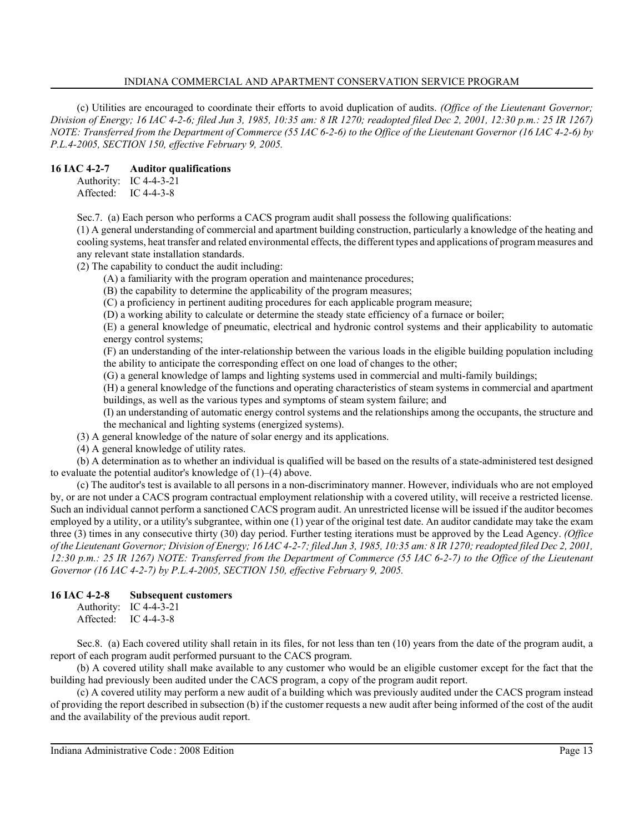(c) Utilities are encouraged to coordinate their efforts to avoid duplication of audits. *(Office of the Lieutenant Governor; Division of Energy; 16 IAC 4-2-6; filed Jun 3, 1985, 10:35 am: 8 IR 1270; readopted filed Dec 2, 2001, 12:30 p.m.: 25 IR 1267) NOTE: Transferred from the Department of Commerce (55 IAC 6-2-6) to the Office of the Lieutenant Governor (16 IAC 4-2-6) by P.L.4-2005, SECTION 150, effective February 9, 2005.*

#### **16 IAC 4-2-7 Auditor qualifications**

Authority: IC 4-4-3-21 Affected: IC 4-4-3-8

Sec.7. (a) Each person who performs a CACS program audit shall possess the following qualifications:

(1) A general understanding of commercial and apartment building construction, particularly a knowledge of the heating and cooling systems, heat transfer and related environmental effects, the different types and applications of program measures and any relevant state installation standards.

(2) The capability to conduct the audit including:

(A) a familiarity with the program operation and maintenance procedures;

(B) the capability to determine the applicability of the program measures;

(C) a proficiency in pertinent auditing procedures for each applicable program measure;

(D) a working ability to calculate or determine the steady state efficiency of a furnace or boiler;

(E) a general knowledge of pneumatic, electrical and hydronic control systems and their applicability to automatic energy control systems;

(F) an understanding of the inter-relationship between the various loads in the eligible building population including the ability to anticipate the corresponding effect on one load of changes to the other;

(G) a general knowledge of lamps and lighting systems used in commercial and multi-family buildings;

(H) a general knowledge of the functions and operating characteristics of steam systems in commercial and apartment buildings, as well as the various types and symptoms of steam system failure; and

(I) an understanding of automatic energy control systems and the relationships among the occupants, the structure and the mechanical and lighting systems (energized systems).

(3) A general knowledge of the nature of solar energy and its applications.

(4) A general knowledge of utility rates.

(b) A determination as to whether an individual is qualified will be based on the results of a state-administered test designed to evaluate the potential auditor's knowledge of  $(1)$ – $(4)$  above.

(c) The auditor's test is available to all persons in a non-discriminatory manner. However, individuals who are not employed by, or are not under a CACS program contractual employment relationship with a covered utility, will receive a restricted license. Such an individual cannot perform a sanctioned CACS program audit. An unrestricted license will be issued if the auditor becomes employed by a utility, or a utility's subgrantee, within one (1) year of the original test date. An auditor candidate may take the exam three (3) times in any consecutive thirty (30) day period. Further testing iterations must be approved by the Lead Agency. *(Office of the Lieutenant Governor; Division of Energy; 16 IAC 4-2-7; filed Jun 3, 1985, 10:35 am: 8 IR 1270; readopted filed Dec 2, 2001, 12:30 p.m.: 25 IR 1267) NOTE: Transferred from the Department of Commerce (55 IAC 6-2-7) to the Office of the Lieutenant Governor (16 IAC 4-2-7) by P.L.4-2005, SECTION 150, effective February 9, 2005.*

## **16 IAC 4-2-8 Subsequent customers**

Authority: IC 4-4-3-21 Affected: IC 4-4-3-8

Sec.8. (a) Each covered utility shall retain in its files, for not less than ten (10) years from the date of the program audit, a report of each program audit performed pursuant to the CACS program.

(b) A covered utility shall make available to any customer who would be an eligible customer except for the fact that the building had previously been audited under the CACS program, a copy of the program audit report.

(c) A covered utility may perform a new audit of a building which was previously audited under the CACS program instead of providing the report described in subsection (b) if the customer requests a new audit after being informed of the cost of the audit and the availability of the previous audit report.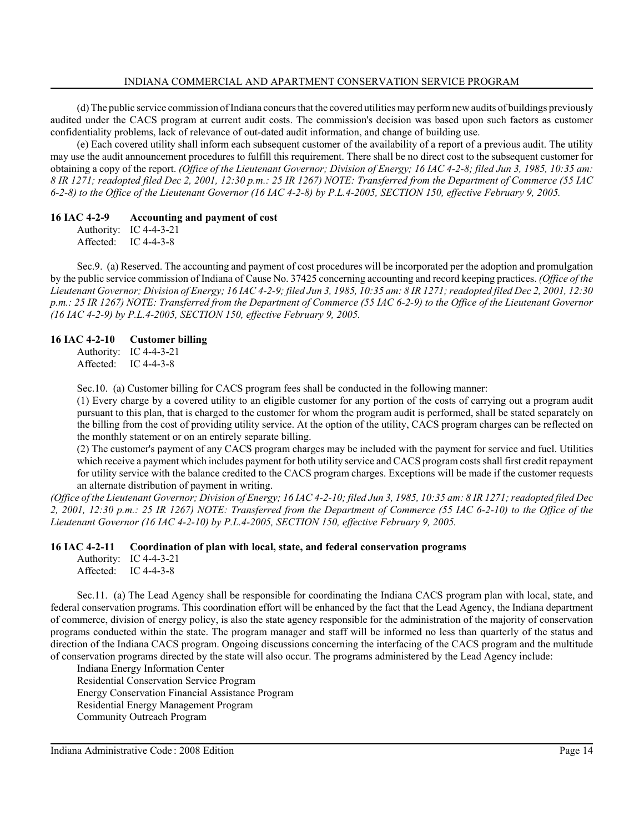(d) The public service commission of Indiana concurs that the covered utilities may perform new audits of buildings previously audited under the CACS program at current audit costs. The commission's decision was based upon such factors as customer confidentiality problems, lack of relevance of out-dated audit information, and change of building use.

(e) Each covered utility shall inform each subsequent customer of the availability of a report of a previous audit. The utility may use the audit announcement procedures to fulfill this requirement. There shall be no direct cost to the subsequent customer for obtaining a copy of the report. *(Office of the Lieutenant Governor; Division of Energy; 16 IAC 4-2-8; filed Jun 3, 1985, 10:35 am: 8 IR 1271; readopted filed Dec 2, 2001, 12:30 p.m.: 25 IR 1267) NOTE: Transferred from the Department of Commerce (55 IAC 6-2-8) to the Office of the Lieutenant Governor (16 IAC 4-2-8) by P.L.4-2005, SECTION 150, effective February 9, 2005.*

#### **16 IAC 4-2-9 Accounting and payment of cost**

Authority: IC 4-4-3-21 Affected: IC 4-4-3-8

Sec.9. (a) Reserved. The accounting and payment of cost procedures will be incorporated per the adoption and promulgation by the public service commission of Indiana of Cause No. 37425 concerning accounting and record keeping practices. *(Office of the Lieutenant Governor; Division of Energy; 16 IAC 4-2-9; filed Jun 3, 1985, 10:35 am: 8 IR 1271; readopted filed Dec 2, 2001, 12:30 p.m.: 25 IR 1267) NOTE: Transferred from the Department of Commerce (55 IAC 6-2-9) to the Office of the Lieutenant Governor (16 IAC 4-2-9) by P.L.4-2005, SECTION 150, effective February 9, 2005.*

#### **16 IAC 4-2-10 Customer billing**

Authority: IC 4-4-3-21 Affected: IC 4-4-3-8

Sec.10. (a) Customer billing for CACS program fees shall be conducted in the following manner:

(1) Every charge by a covered utility to an eligible customer for any portion of the costs of carrying out a program audit pursuant to this plan, that is charged to the customer for whom the program audit is performed, shall be stated separately on the billing from the cost of providing utility service. At the option of the utility, CACS program charges can be reflected on the monthly statement or on an entirely separate billing.

(2) The customer's payment of any CACS program charges may be included with the payment for service and fuel. Utilities which receive a payment which includes payment for both utility service and CACS program costs shall first credit repayment for utility service with the balance credited to the CACS program charges. Exceptions will be made if the customer requests an alternate distribution of payment in writing.

*(Office of the Lieutenant Governor; Division of Energy; 16 IAC 4-2-10; filed Jun 3, 1985, 10:35 am: 8 IR 1271; readopted filed Dec 2, 2001, 12:30 p.m.: 25 IR 1267) NOTE: Transferred from the Department of Commerce (55 IAC 6-2-10) to the Office of the Lieutenant Governor (16 IAC 4-2-10) by P.L.4-2005, SECTION 150, effective February 9, 2005.*

#### **16 IAC 4-2-11 Coordination of plan with local, state, and federal conservation programs**

Authority: IC 4-4-3-21 Affected: IC 4-4-3-8

Sec.11. (a) The Lead Agency shall be responsible for coordinating the Indiana CACS program plan with local, state, and federal conservation programs. This coordination effort will be enhanced by the fact that the Lead Agency, the Indiana department of commerce, division of energy policy, is also the state agency responsible for the administration of the majority of conservation programs conducted within the state. The program manager and staff will be informed no less than quarterly of the status and direction of the Indiana CACS program. Ongoing discussions concerning the interfacing of the CACS program and the multitude of conservation programs directed by the state will also occur. The programs administered by the Lead Agency include:

Indiana Energy Information Center Residential Conservation Service Program Energy Conservation Financial Assistance Program Residential Energy Management Program Community Outreach Program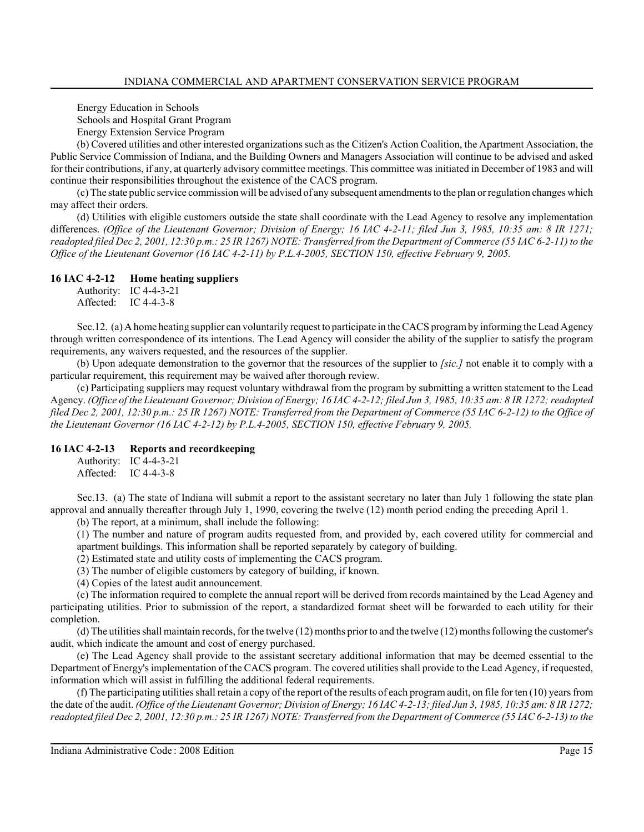Energy Education in Schools Schools and Hospital Grant Program

Energy Extension Service Program

(b) Covered utilities and other interested organizations such as the Citizen's Action Coalition, the Apartment Association, the Public Service Commission of Indiana, and the Building Owners and Managers Association will continue to be advised and asked for their contributions, if any, at quarterly advisory committee meetings. This committee was initiated in December of 1983 and will continue their responsibilities throughout the existence of the CACS program.

(c) The state public service commission will be advised of any subsequent amendments to the plan or regulation changes which may affect their orders.

(d) Utilities with eligible customers outside the state shall coordinate with the Lead Agency to resolve any implementation differences. *(Office of the Lieutenant Governor; Division of Energy; 16 IAC 4-2-11; filed Jun 3, 1985, 10:35 am: 8 IR 1271; readopted filed Dec 2, 2001, 12:30 p.m.: 25 IR 1267) NOTE: Transferred from the Department of Commerce (55 IAC 6-2-11) to the Office of the Lieutenant Governor (16 IAC 4-2-11) by P.L.4-2005, SECTION 150, effective February 9, 2005.*

## **16 IAC 4-2-12 Home heating suppliers**

Authority: IC 4-4-3-21 Affected: IC 4-4-3-8

Sec.12. (a) A home heating supplier can voluntarily request to participate in the CACS program by informing the Lead Agency through written correspondence of its intentions. The Lead Agency will consider the ability of the supplier to satisfy the program requirements, any waivers requested, and the resources of the supplier.

(b) Upon adequate demonstration to the governor that the resources of the supplier to *[sic.]* not enable it to comply with a particular requirement, this requirement may be waived after thorough review.

(c) Participating suppliers may request voluntary withdrawal from the program by submitting a written statement to the Lead Agency. *(Office of the Lieutenant Governor; Division of Energy; 16 IAC 4-2-12; filed Jun 3, 1985, 10:35 am: 8 IR 1272; readopted filed Dec 2, 2001, 12:30 p.m.: 25 IR 1267) NOTE: Transferred from the Department of Commerce (55 IAC 6-2-12) to the Office of the Lieutenant Governor (16 IAC 4-2-12) by P.L.4-2005, SECTION 150, effective February 9, 2005.*

## **16 IAC 4-2-13 Reports and recordkeeping**

Authority: IC 4-4-3-21 Affected: IC 4-4-3-8

Sec.13. (a) The state of Indiana will submit a report to the assistant secretary no later than July 1 following the state plan approval and annually thereafter through July 1, 1990, covering the twelve (12) month period ending the preceding April 1.

(b) The report, at a minimum, shall include the following:

(1) The number and nature of program audits requested from, and provided by, each covered utility for commercial and apartment buildings. This information shall be reported separately by category of building.

(2) Estimated state and utility costs of implementing the CACS program.

(3) The number of eligible customers by category of building, if known.

(4) Copies of the latest audit announcement.

(c) The information required to complete the annual report will be derived from records maintained by the Lead Agency and participating utilities. Prior to submission of the report, a standardized format sheet will be forwarded to each utility for their completion.

(d) The utilities shall maintain records, for the twelve (12) months prior to and the twelve (12) months following the customer's audit, which indicate the amount and cost of energy purchased.

(e) The Lead Agency shall provide to the assistant secretary additional information that may be deemed essential to the Department of Energy's implementation of the CACS program. The covered utilities shall provide to the Lead Agency, if requested, information which will assist in fulfilling the additional federal requirements.

(f) The participating utilities shall retain a copy of the report of the results of each program audit, on file for ten (10) years from the date of the audit. *(Office of the Lieutenant Governor; Division of Energy; 16 IAC 4-2-13; filed Jun 3, 1985, 10:35 am: 8 IR 1272; readopted filed Dec 2, 2001, 12:30 p.m.: 25 IR 1267) NOTE: Transferred from the Department of Commerce (55 IAC 6-2-13) to the*